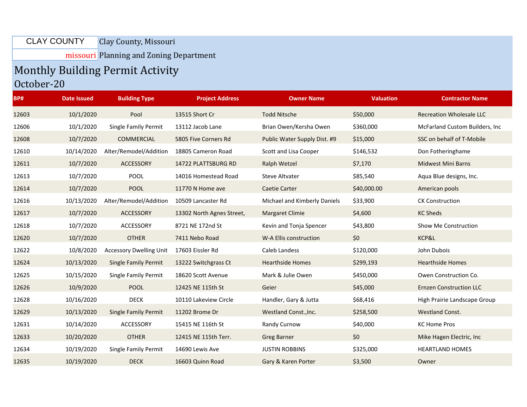## Clay County, Missouri CLAY COUNTY

missouri Planning and Zoning Department

## Monthly Building Permit Activity

## October-20

| BP#   | <b>Date Issued</b> | <b>Building Type</b>           | <b>Project Address</b>    | <b>Owner Name</b>            | <b>Valuation</b> | <b>Contractor Name</b>          |
|-------|--------------------|--------------------------------|---------------------------|------------------------------|------------------|---------------------------------|
| 12603 | 10/1/2020          | Pool                           | 13515 Short Cr            | <b>Todd Nitsche</b>          | \$50,000         | <b>Recreation Wholesale LLC</b> |
| 12606 | 10/1/2020          | Single Family Permit           | 13112 Jacob Lane          | Brian Owen/Kersha Owen       | \$360,000        | McFarland Custom Builders, Inc. |
| 12608 | 10/7/2020          | <b>COMMERCIAL</b>              | 5805 Five Corners Rd      | Public Water Supply Dist. #9 | \$15,000         | SSC on behalf of T-Mobile       |
| 12610 | 10/14/2020         | Alter/Remodel/Addition         | 18805 Cameron Road        | Scott and Lisa Cooper        | \$146,532        | Don Fotheringhame               |
| 12611 | 10/7/2020          | ACCESSORY                      | 14722 PLATTSBURG RD       | Ralph Wetzel                 | \$7,170          | <b>Midwest Mini Barns</b>       |
| 12613 | 10/7/2020          | <b>POOL</b>                    | 14016 Homestead Road      | <b>Steve Altvater</b>        | \$85,540         | Aqua Blue designs, Inc.         |
| 12614 | 10/7/2020          | <b>POOL</b>                    | 11770 N Home ave          | <b>Caetie Carter</b>         | \$40,000.00      | American pools                  |
| 12616 | 10/13/2020         | Alter/Remodel/Addition         | 10509 Lancaster Rd        | Michael and Kimberly Daniels | \$33,900         | <b>CK Construction</b>          |
| 12617 | 10/7/2020          | ACCESSORY                      | 13302 North Agnes Street, | <b>Margaret Climie</b>       | \$4,600          | <b>KC Sheds</b>                 |
| 12618 | 10/7/2020          | ACCESSORY                      | 8721 NE 172nd St          | Kevin and Tonja Spencer      | \$43,800         | Show Me Construction            |
| 12620 | 10/7/2020          | <b>OTHER</b>                   | 7411 Nebo Road            | W-A Ellis construction       | \$0              | KCP&L                           |
| 12622 | 10/8/2020          | <b>Accessory Dwelling Unit</b> | 17603 Eissler Rd          | Caleb Landess                | \$120,000        | John Dubois                     |
| 12624 | 10/13/2020         | <b>Single Family Permit</b>    | 13222 Switchgrass Ct      | <b>Hearthside Homes</b>      | \$299,193        | <b>Hearthside Homes</b>         |
| 12625 | 10/15/2020         | Single Family Permit           | 18620 Scott Avenue        | Mark & Julie Owen            | \$450,000        | Owen Construction Co.           |
| 12626 | 10/9/2020          | <b>POOL</b>                    | 12425 NE 115th St         | Geier                        | \$45,000         | <b>Ernzen Construction LLC</b>  |
| 12628 | 10/16/2020         | <b>DECK</b>                    | 10110 Lakeview Circle     | Handler, Gary & Jutta        | \$68,416         | High Prairie Landscape Group    |
| 12629 | 10/13/2020         | <b>Single Family Permit</b>    | 11202 Brome Dr            | Westland Const., Inc.        | \$258,500        | <b>Westland Const.</b>          |
| 12631 | 10/14/2020         | ACCESSORY                      | 15415 NE 116th St         | Randy Curnow                 | \$40,000         | <b>KC Home Pros</b>             |
| 12633 | 10/20/2020         | <b>OTHER</b>                   | 12415 NE 115th Terr.      | <b>Greg Barner</b>           | \$0              | Mike Hagen Electric, Inc.       |
| 12634 | 10/19/2020         | Single Family Permit           | 14690 Lewis Ave           | <b>JUSTIN ROBBINS</b>        | \$325,000        | <b>HEARTLAND HOMES</b>          |
| 12635 | 10/19/2020         | <b>DECK</b>                    | 16603 Quinn Road          | Gary & Karen Porter          | \$3,500          | Owner                           |